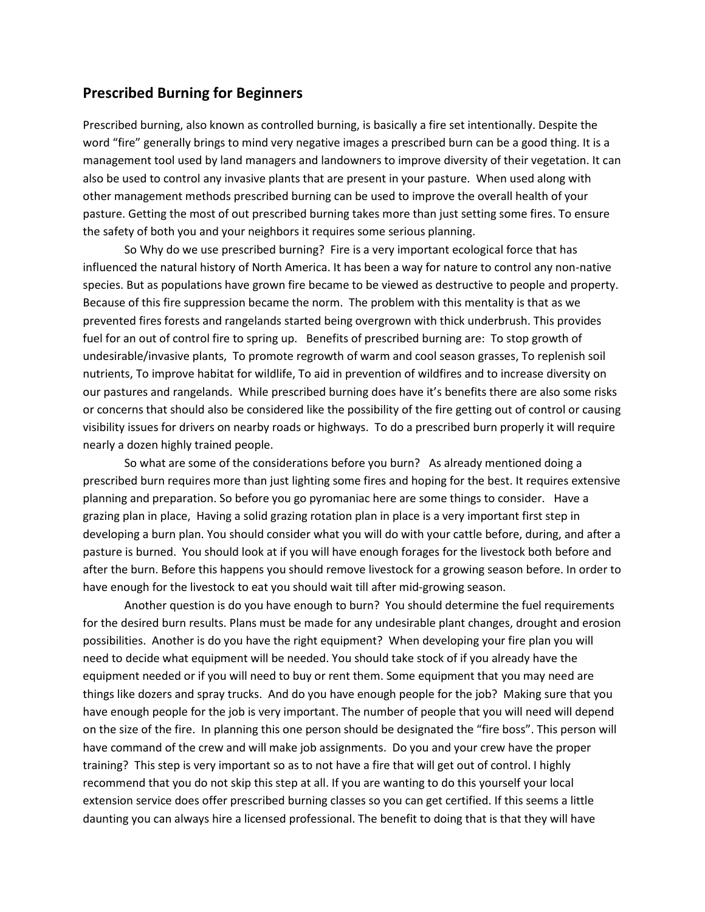## **Prescribed Burning for Beginners**

Prescribed burning, also known as controlled burning, is basically a fire set intentionally. Despite the word "fire" generally brings to mind very negative images a prescribed burn can be a good thing. It is a management tool used by land managers and landowners to improve diversity of their vegetation. It can also be used to control any invasive plants that are present in your pasture. When used along with other management methods prescribed burning can be used to improve the overall health of your pasture. Getting the most of out prescribed burning takes more than just setting some fires. To ensure the safety of both you and your neighbors it requires some serious planning.

So Why do we use prescribed burning? Fire is a very important ecological force that has influenced the natural history of North America. It has been a way for nature to control any non-native species. But as populations have grown fire became to be viewed as destructive to people and property. Because of this fire suppression became the norm. The problem with this mentality is that as we prevented fires forests and rangelands started being overgrown with thick underbrush. This provides fuel for an out of control fire to spring up. Benefits of prescribed burning are: To stop growth of undesirable/invasive plants, To promote regrowth of warm and cool season grasses, To replenish soil nutrients, To improve habitat for wildlife, To aid in prevention of wildfires and to increase diversity on our pastures and rangelands. While prescribed burning does have it's benefits there are also some risks or concerns that should also be considered like the possibility of the fire getting out of control or causing visibility issues for drivers on nearby roads or highways. To do a prescribed burn properly it will require nearly a dozen highly trained people.

So what are some of the considerations before you burn? As already mentioned doing a prescribed burn requires more than just lighting some fires and hoping for the best. It requires extensive planning and preparation. So before you go pyromaniac here are some things to consider. Have a grazing plan in place, Having a solid grazing rotation plan in place is a very important first step in developing a burn plan. You should consider what you will do with your cattle before, during, and after a pasture is burned. You should look at if you will have enough forages for the livestock both before and after the burn. Before this happens you should remove livestock for a growing season before. In order to have enough for the livestock to eat you should wait till after mid-growing season.

Another question is do you have enough to burn? You should determine the fuel requirements for the desired burn results. Plans must be made for any undesirable plant changes, drought and erosion possibilities. Another is do you have the right equipment? When developing your fire plan you will need to decide what equipment will be needed. You should take stock of if you already have the equipment needed or if you will need to buy or rent them. Some equipment that you may need are things like dozers and spray trucks. And do you have enough people for the job? Making sure that you have enough people for the job is very important. The number of people that you will need will depend on the size of the fire. In planning this one person should be designated the "fire boss". This person will have command of the crew and will make job assignments. Do you and your crew have the proper training? This step is very important so as to not have a fire that will get out of control. I highly recommend that you do not skip this step at all. If you are wanting to do this yourself your local extension service does offer prescribed burning classes so you can get certified. If this seems a little daunting you can always hire a licensed professional. The benefit to doing that is that they will have